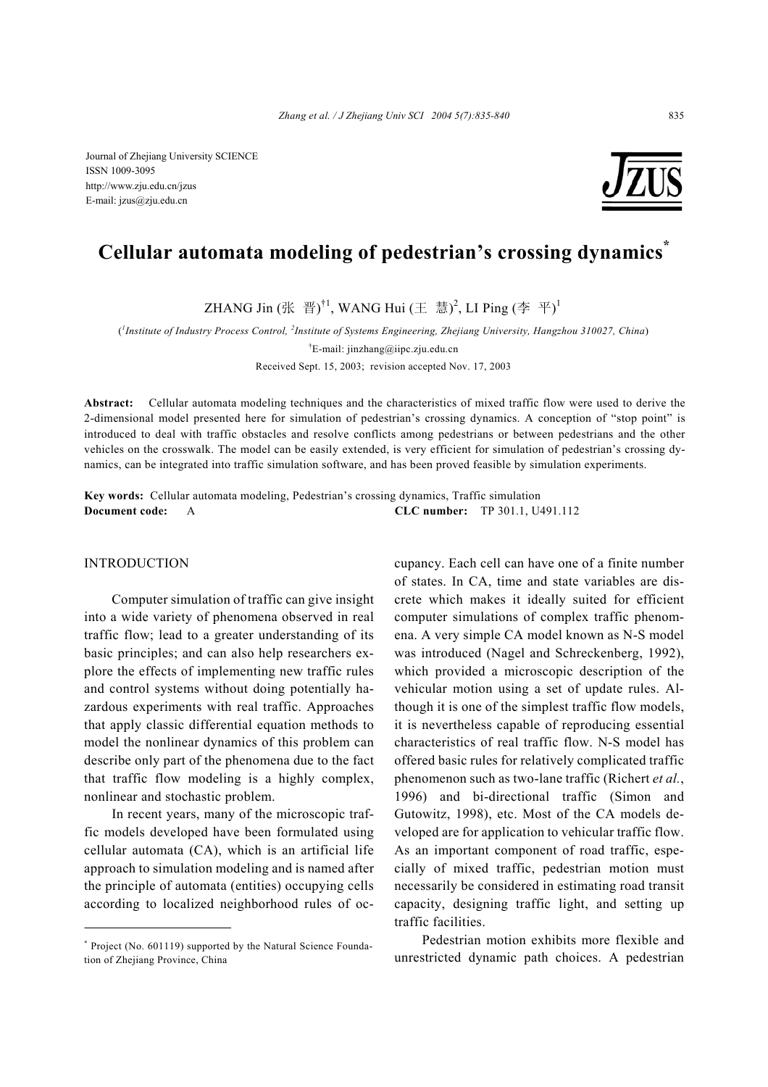Journal of Zhejiang University SCIENCE ISSN 1009-3095 http://www.zju.edu.cn/jzus E-mail: jzus@zju.edu.cn



# **Cellular automata modeling of pedestrian's crossing dynamics\***

ZHANG Jin (张 晋) $^{\dagger 1}$ , WANG Hui (王 慧) $^2$ , LI Ping (李 平) $^1$ 

( *1 Institute of Industry Process Control, <sup>2</sup> Institute of Systems Engineering, Zhejiang University, Hangzhou 310027, China*) † E-mail: jinzhang@iipc.zju.edu.cn

Received Sept. 15, 2003; revision accepted Nov. 17, 2003

**Abstract:** Cellular automata modeling techniques and the characteristics of mixed traffic flow were used to derive the 2-dimensional model presented here for simulation of pedestrian's crossing dynamics. A conception of "stop point" is introduced to deal with traffic obstacles and resolve conflicts among pedestrians or between pedestrians and the other vehicles on the crosswalk. The model can be easily extended, is very efficient for simulation of pedestrian's crossing dynamics, can be integrated into traffic simulation software, and has been proved feasible by simulation experiments.

**Key words:** Cellular automata modeling, Pedestrian's crossing dynamics, Traffic simulation **Document code:** A **CLC number:** TP 301.1, U491.112

## INTRODUCTION

Computer simulation of traffic can give insight into a wide variety of phenomena observed in real traffic flow; lead to a greater understanding of its basic principles; and can also help researchers explore the effects of implementing new traffic rules and control systems without doing potentially hazardous experiments with real traffic. Approaches that apply classic differential equation methods to model the nonlinear dynamics of this problem can describe only part of the phenomena due to the fact that traffic flow modeling is a highly complex, nonlinear and stochastic problem.

In recent years, many of the microscopic traffic models developed have been formulated using cellular automata (CA), which is an artificial life approach to simulation modeling and is named after the principle of automata (entities) occupying cells according to localized neighborhood rules of occupancy. Each cell can have one of a finite number of states. In CA, time and state variables are discrete which makes it ideally suited for efficient computer simulations of complex traffic phenomena. A very simple CA model known as N-S model was introduced (Nagel and Schreckenberg, 1992), which provided a microscopic description of the vehicular motion using a set of update rules. Although it is one of the simplest traffic flow models, it is nevertheless capable of reproducing essential characteristics of real traffic flow. N-S model has offered basic rules for relatively complicated traffic phenomenon such as two-lane traffic (Richert *et al.*, 1996) and bi-directional traffic (Simon and Gutowitz, 1998), etc. Most of the CA models developed are for application to vehicular traffic flow. As an important component of road traffic, especially of mixed traffic, pedestrian motion must necessarily be considered in estimating road transit capacity, designing traffic light, and setting up traffic facilities.

Pedestrian motion exhibits more flexible and unrestricted dynamic path choices. A pedestrian

<sup>\*</sup> Project (No. 601119) supported by the Natural Science Foundation of Zhejiang Province, China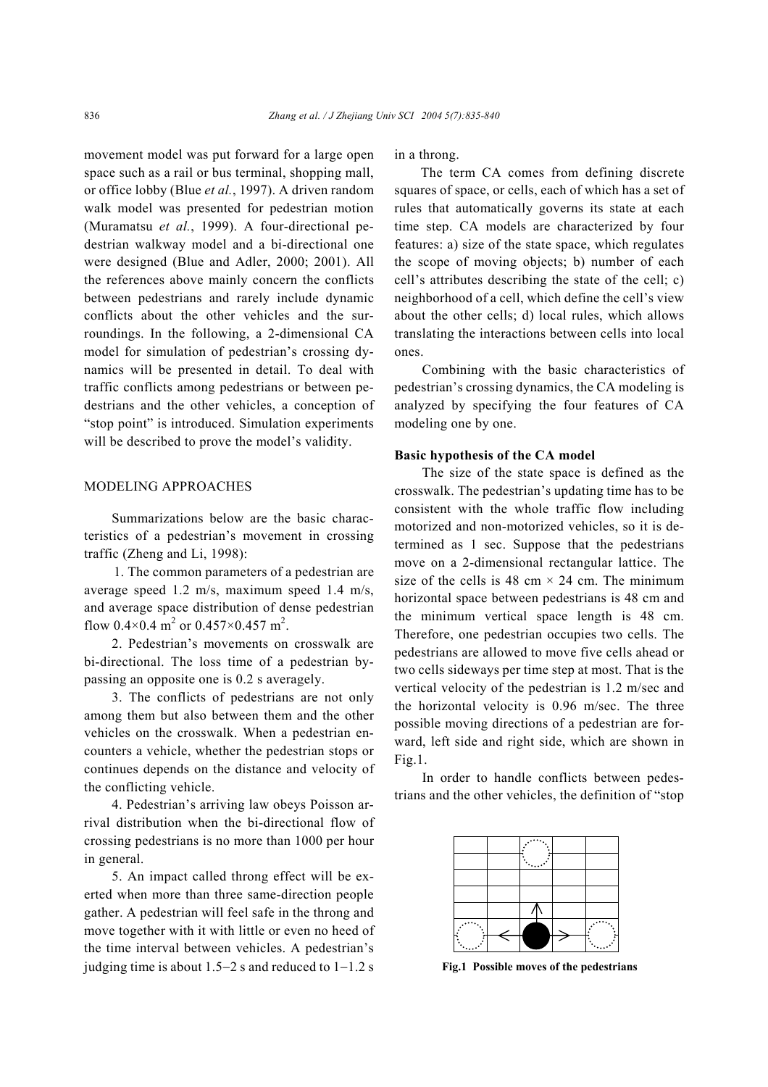movement model was put forward for a large open space such as a rail or bus terminal, shopping mall, or office lobby (Blue *et al.*, 1997). A driven random walk model was presented for pedestrian motion (Muramatsu *et al.*, 1999). A four-directional pedestrian walkway model and a bi-directional one were designed (Blue and Adler, 2000; 2001). All the references above mainly concern the conflicts between pedestrians and rarely include dynamic conflicts about the other vehicles and the surroundings. In the following, a 2-dimensional CA model for simulation of pedestrian's crossing dynamics will be presented in detail. To deal with traffic conflicts among pedestrians or between pedestrians and the other vehicles, a conception of "stop point" is introduced. Simulation experiments will be described to prove the model's validity.

# MODELING APPROACHES

Summarizations below are the basic characteristics of a pedestrian's movement in crossing traffic (Zheng and Li, 1998):

1. The common parameters of a pedestrian are average speed 1.2 m/s, maximum speed 1.4 m/s, and average space distribution of dense pedestrian flow  $0.4 \times 0.4$  m<sup>2</sup> or  $0.457 \times 0.457$  m<sup>2</sup>.

2. Pedestrian's movements on crosswalk are bi-directional. The loss time of a pedestrian bypassing an opposite one is 0.2 s averagely.

3. The conflicts of pedestrians are not only among them but also between them and the other vehicles on the crosswalk. When a pedestrian encounters a vehicle, whether the pedestrian stops or continues depends on the distance and velocity of the conflicting vehicle.

4. Pedestrian's arriving law obeys Poisson arrival distribution when the bi-directional flow of crossing pedestrians is no more than 1000 per hour in general.

5. An impact called throng effect will be exerted when more than three same-direction people gather. A pedestrian will feel safe in the throng and move together with it with little or even no heed of the time interval between vehicles. A pedestrian's judging time is about 1.5−2 s and reduced to 1−1.2 s

in a throng.

The term CA comes from defining discrete squares of space, or cells, each of which has a set of rules that automatically governs its state at each time step. CA models are characterized by four features: a) size of the state space, which regulates the scope of moving objects; b) number of each cell's attributes describing the state of the cell; c) neighborhood of a cell, which define the cell's view about the other cells; d) local rules, which allows translating the interactions between cells into local ones.

Combining with the basic characteristics of pedestrian's crossing dynamics, the CA modeling is analyzed by specifying the four features of CA modeling one by one.

#### **Basic hypothesis of the CA model**

The size of the state space is defined as the crosswalk. The pedestrian's updating time has to be consistent with the whole traffic flow including motorized and non-motorized vehicles, so it is determined as 1 sec. Suppose that the pedestrians move on a 2-dimensional rectangular lattice. The size of the cells is 48 cm  $\times$  24 cm. The minimum horizontal space between pedestrians is 48 cm and the minimum vertical space length is 48 cm. Therefore, one pedestrian occupies two cells. The pedestrians are allowed to move five cells ahead or two cells sideways per time step at most. That is the vertical velocity of the pedestrian is 1.2 m/sec and the horizontal velocity is 0.96 m/sec. The three possible moving directions of a pedestrian are forward, left side and right side, which are shown in Fig.1.

In order to handle conflicts between pedestrians and the other vehicles, the definition of "stop



**Fig.1 Possible moves of the pedestrians**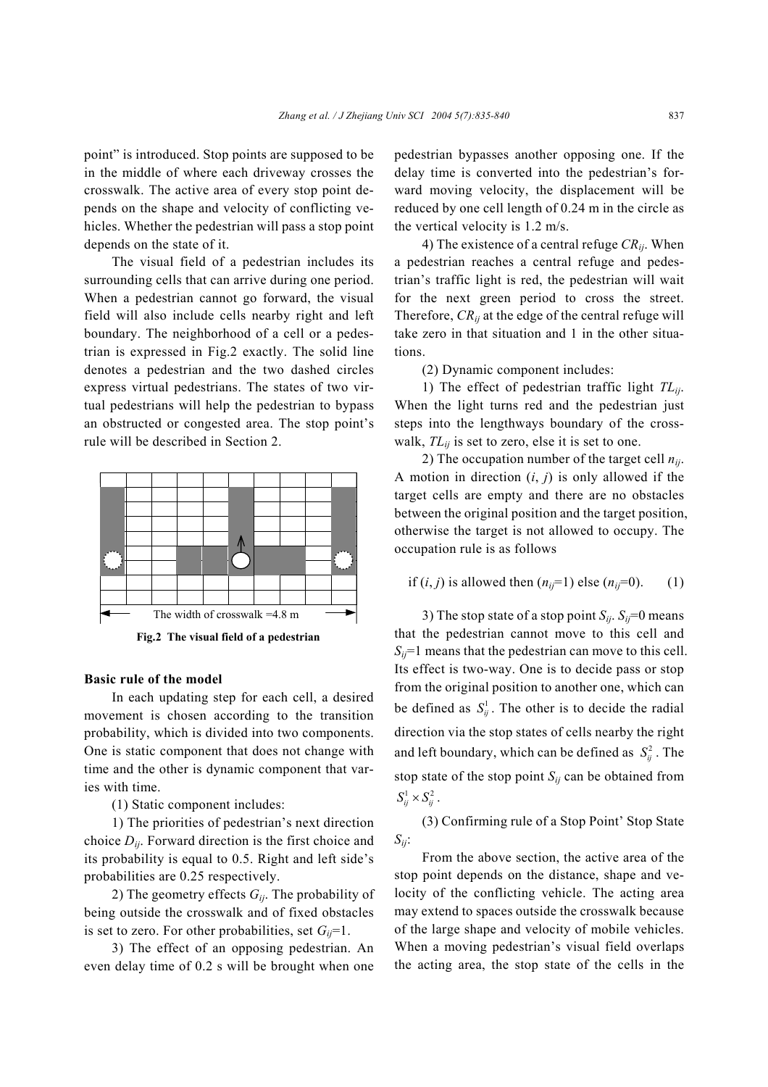point" is introduced. Stop points are supposed to be in the middle of where each driveway crosses the crosswalk. The active area of every stop point depends on the shape and velocity of conflicting vehicles. Whether the pedestrian will pass a stop point depends on the state of it.

The visual field of a pedestrian includes its surrounding cells that can arrive during one period. When a pedestrian cannot go forward, the visual field will also include cells nearby right and left boundary. The neighborhood of a cell or a pedestrian is expressed in Fig.2 exactly. The solid line denotes a pedestrian and the two dashed circles express virtual pedestrians. The states of two virtual pedestrians will help the pedestrian to bypass an obstructed or congested area. The stop point's rule will be described in Section 2.



**Fig.2 The visual field of a pedestrian** 

## **Basic rule of the model**

In each updating step for each cell, a desired movement is chosen according to the transition probability, which is divided into two components. One is static component that does not change with time and the other is dynamic component that varies with time.

(1) Static component includes:

1) The priorities of pedestrian's next direction choice *Dij*. Forward direction is the first choice and its probability is equal to 0.5. Right and left side's probabilities are 0.25 respectively.

2) The geometry effects  $G_{ij}$ . The probability of being outside the crosswalk and of fixed obstacles is set to zero. For other probabilities, set  $G_{ii}$ =1.

3) The effect of an opposing pedestrian. An even delay time of 0.2 s will be brought when one pedestrian bypasses another opposing one. If the delay time is converted into the pedestrian's forward moving velocity, the displacement will be reduced by one cell length of 0.24 m in the circle as the vertical velocity is 1.2 m/s.

4) The existence of a central refuge  $CR_{ij}$ . When a pedestrian reaches a central refuge and pedestrian's traffic light is red, the pedestrian will wait for the next green period to cross the street. Therefore,  $CR_{ij}$  at the edge of the central refuge will take zero in that situation and 1 in the other situations.

(2) Dynamic component includes:

1) The effect of pedestrian traffic light *TLij*. When the light turns red and the pedestrian just steps into the lengthways boundary of the crosswalk,  $TL_{ij}$  is set to zero, else it is set to one.

2) The occupation number of the target cell *nij*. A motion in direction (*i*, *j*) is only allowed if the target cells are empty and there are no obstacles between the original position and the target position, otherwise the target is not allowed to occupy. The occupation rule is as follows

if 
$$
(i, j)
$$
 is allowed then  $(n_{ij}=1)$  else  $(n_{ij}=0)$ . (1)

3) The stop state of a stop point  $S_{ij}$ .  $S_{ij}=0$  means that the pedestrian cannot move to this cell and  $S_i$ =1 means that the pedestrian can move to this cell. Its effect is two-way. One is to decide pass or stop from the original position to another one, which can be defined as  $S_{ij}^1$ . The other is to decide the radial direction via the stop states of cells nearby the right and left boundary, which can be defined as  $S_{ij}^2$ . The stop state of the stop point  $S_{ij}$  can be obtained from  $S_{ij}^1 \times S_{ij}^2$ .

(3) Confirming rule of a Stop Point' Stop State *Sij*:

From the above section, the active area of the stop point depends on the distance, shape and velocity of the conflicting vehicle. The acting area may extend to spaces outside the crosswalk because of the large shape and velocity of mobile vehicles. When a moving pedestrian's visual field overlaps the acting area, the stop state of the cells in the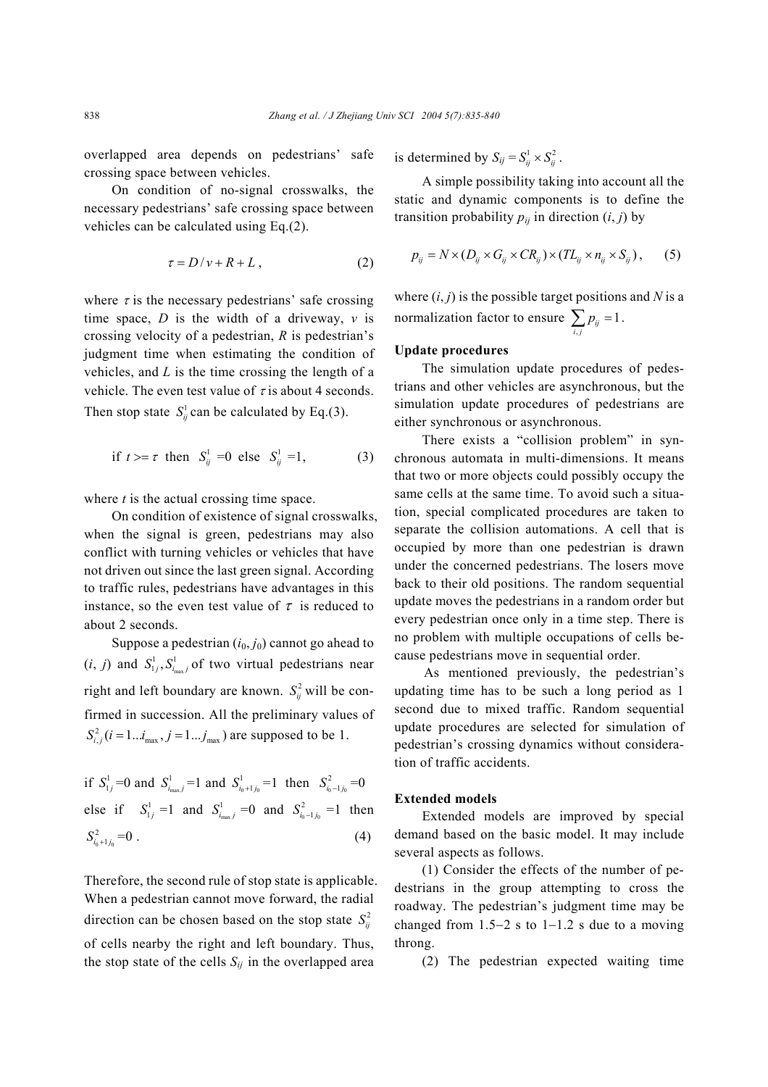overlapped area depends on pedestrians' safe crossing space between vehicles.

On condition of no-signal crosswalks, the necessary pedestrians' safe crossing space between vehicles can be calculated using Eq.(2).

$$
\tau = D/v + R + L \,, \tag{2}
$$

where  $\tau$  is the necessary pedestrians' safe crossing time space,  $D$  is the width of a driveway,  $\nu$  is crossing velocity of a pedestrian, *R* is pedestrian's judgment time when estimating the condition of vehicles, and *L* is the time crossing the length of a vehicle. The even test value of  $\tau$  is about 4 seconds. Then stop state  $S_{ij}^1$  can be calculated by Eq.(3).

if 
$$
t = \tau
$$
 then  $S_{ij}^1 = 0$  else  $S_{ij}^1 = 1$ , (3)

where *t* is the actual crossing time space.

On condition of existence of signal crosswalks, when the signal is green, pedestrians may also conflict with turning vehicles or vehicles that have not driven out since the last green signal. According to traffic rules, pedestrians have advantages in this instance, so the even test value of  $\tau$  is reduced to about 2 seconds.

Suppose a pedestrian  $(i_0, i_0)$  cannot go ahead to  $(i, j)$  and  $S^1_{1j}, S^1_{i_{\text{max}}j}$  of two virtual pedestrians near right and left boundary are known.  $S_{ij}^2$  will be confirmed in succession. All the preliminary values of  $S_{i,j}^2$  (*i* = 1...*i*<sub>max</sub>, *j* = 1...*j*<sub>max</sub>) are supposed to be 1.

if  $S^1_{1j} = 0$  and  $S^1_{i_{max}j} = 1$  and  $S^1_{i_0+1j_0} = 1$  then  $S^2_{i_0-1j_0} = 0$ else if  $S_{1j}^1 = 1$  and  $S_{i_{max}j}^1 = 0$  and  $S_{i_0-1j_0}^2 = 1$  then  $0 + 1, 0$  $S_{i_0+1 j_0}^2 = 0$  (4)

Therefore, the second rule of stop state is applicable. When a pedestrian cannot move forward, the radial direction can be chosen based on the stop state  $S_{ij}^2$ of cells nearby the right and left boundary. Thus, the stop state of the cells  $S_{ij}$  in the overlapped area

is determined by  $S_{ij} = S_{ij}^1 \times S_{ij}^2$ .

A simple possibility taking into account all the static and dynamic components is to define the transition probability  $p_{ij}$  in direction  $(i, j)$  by

$$
p_{ij} = N \times (D_{ij} \times G_{ij} \times CR_{ij}) \times (TL_{ij} \times n_{ij} \times S_{ij}), \qquad (5)
$$

where  $(i, j)$  is the possible target positions and *N* is a normalization factor to ensure  $\sum_{i,j} p_{ij} = 1$ .

# **Update procedures**

The simulation update procedures of pedestrians and other vehicles are asynchronous, but the simulation update procedures of pedestrians are either synchronous or asynchronous.

There exists a "collision problem" in synchronous automata in multi-dimensions. It means that two or more objects could possibly occupy the same cells at the same time. To avoid such a situation, special complicated procedures are taken to separate the collision automations. A cell that is occupied by more than one pedestrian is drawn under the concerned pedestrians. The losers move back to their old positions. The random sequential update moves the pedestrians in a random order but every pedestrian once only in a time step. There is no problem with multiple occupations of cells because pedestrians move in sequential order.

As mentioned previously, the pedestrian's updating time has to be such a long period as 1 second due to mixed traffic. Random sequential update procedures are selected for simulation of pedestrian's crossing dynamics without consideration of traffic accidents.

### **Extended models**

Extended models are improved by special demand based on the basic model. It may include several aspects as follows.

(1) Consider the effects of the number of pedestrians in the group attempting to cross the roadway. The pedestrian's judgment time may be changed from 1.5−2 s to 1−1.2 s due to a moving throng.

(2) The pedestrian expected waiting time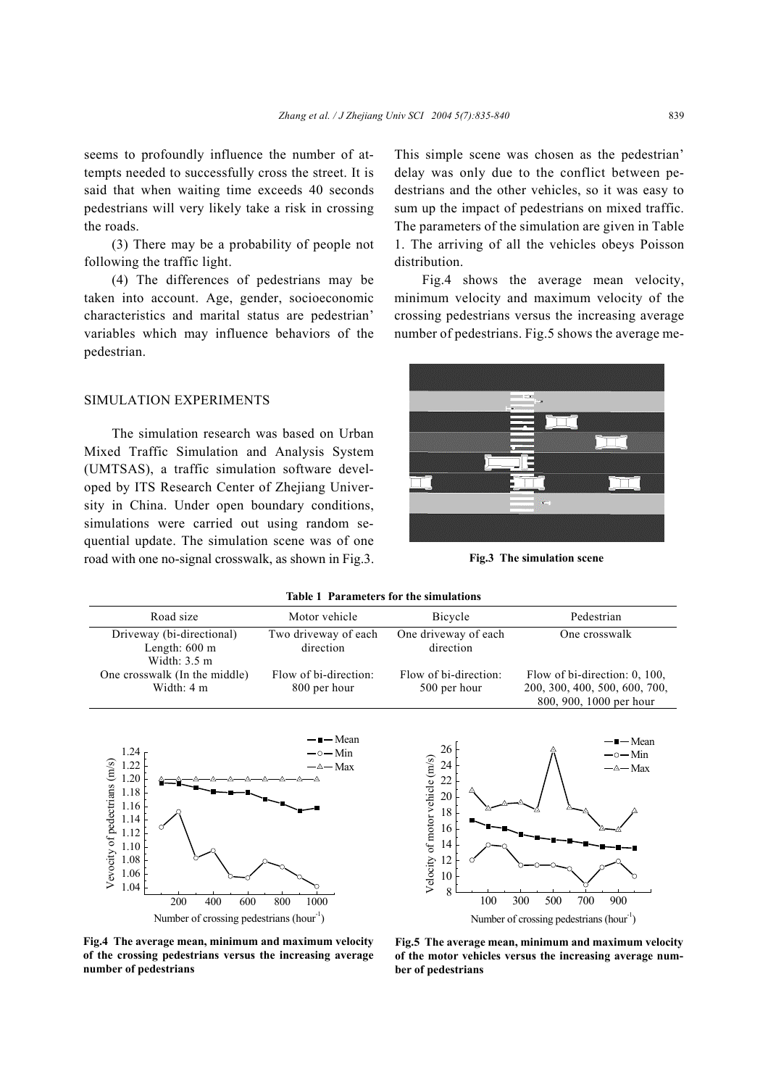seems to profoundly influence the number of attempts needed to successfully cross the street. It is said that when waiting time exceeds 40 seconds pedestrians will very likely take a risk in crossing the roads.

(3) There may be a probability of people not following the traffic light.

(4) The differences of pedestrians may be taken into account. Age, gender, socioeconomic characteristics and marital status are pedestrian' variables which may influence behaviors of the pedestrian.

# SIMULATION EXPERIMENTS

The simulation research was based on Urban Mixed Traffic Simulation and Analysis System (UMTSAS), a traffic simulation software developed by ITS Research Center of Zhejiang University in China. Under open boundary conditions, simulations were carried out using random sequential update. The simulation scene was of one road with one no-signal crosswalk, as shown in Fig.3. This simple scene was chosen as the pedestrian' delay was only due to the conflict between pedestrians and the other vehicles, so it was easy to sum up the impact of pedestrians on mixed traffic. The parameters of the simulation are given in Table 1. The arriving of all the vehicles obeys Poisson distribution.

Fig.4 shows the average mean velocity, minimum velocity and maximum velocity of the crossing pedestrians versus the increasing average number of pedestrians. Fig.5 shows the average me-



**Fig.3 The simulation scene** 

#### **Table 1 Parameters for the simulations**



**Fig.4 The average mean, minimum and maximum velocity of the crossing pedestrians versus the increasing average number of pedestrians**

**Fig.5 The average mean, minimum and maximum velocity of the motor vehicles versus the increasing average number of pedestrians**